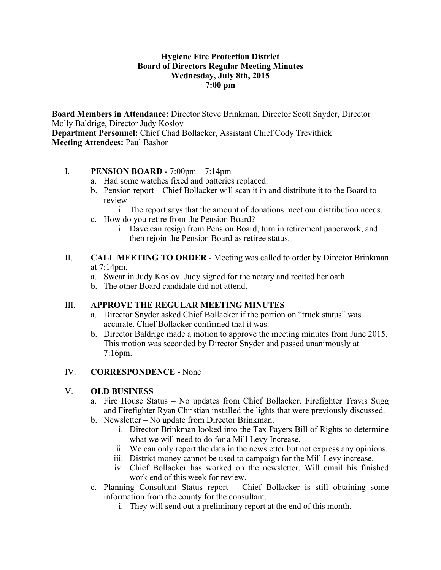#### **Hygiene Fire Protection District Board of Directors Regular Meeting Minutes Wednesday, July 8th, 2015 7:00 pm**

**Board Members in Attendance:** Director Steve Brinkman, Director Scott Snyder, Director Molly Baldrige, Director Judy Koslov **Department Personnel:** Chief Chad Bollacker, Assistant Chief Cody Trevithick **Meeting Attendees:** Paul Bashor

#### I. **PENSION BOARD -** 7:00pm – 7:14pm

- a. Had some watches fixed and batteries replaced.
- b. Pension report Chief Bollacker will scan it in and distribute it to the Board to review
	- i. The report says that the amount of donations meet our distribution needs.
- c. How do you retire from the Pension Board?
	- i. Dave can resign from Pension Board, turn in retirement paperwork, and then rejoin the Pension Board as retiree status.
- II. **CALL MEETING TO ORDER** Meeting was called to order by Director Brinkman at 7:14pm.
	- a. Swear in Judy Koslov. Judy signed for the notary and recited her oath.
	- b. The other Board candidate did not attend.

# III. **APPROVE THE REGULAR MEETING MINUTES**

- a. Director Snyder asked Chief Bollacker if the portion on "truck status" was accurate. Chief Bollacker confirmed that it was.
- b. Director Baldrige made a motion to approve the meeting minutes from June 2015. This motion was seconded by Director Snyder and passed unanimously at 7:16pm.

# IV. **CORRESPONDENCE -** None

# V. **OLD BUSINESS**

- a. Fire House Status No updates from Chief Bollacker. Firefighter Travis Sugg and Firefighter Ryan Christian installed the lights that were previously discussed.
- b. Newsletter No update from Director Brinkman.
	- i. Director Brinkman looked into the Tax Payers Bill of Rights to determine what we will need to do for a Mill Levy Increase.
	- ii. We can only report the data in the newsletter but not express any opinions.
	- iii. District money cannot be used to campaign for the Mill Levy increase.
	- iv. Chief Bollacker has worked on the newsletter. Will email his finished work end of this week for review.
- c. Planning Consultant Status report Chief Bollacker is still obtaining some information from the county for the consultant.
	- i. They will send out a preliminary report at the end of this month.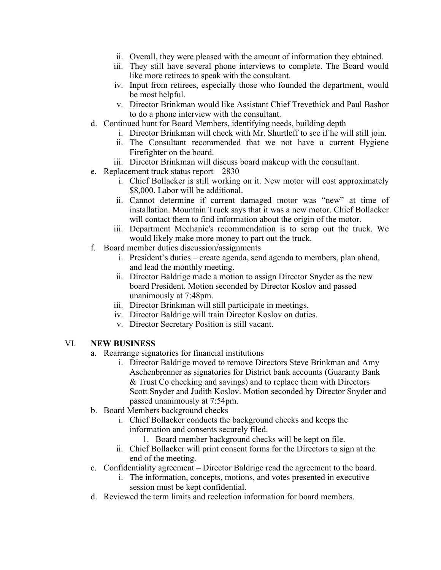- ii. Overall, they were pleased with the amount of information they obtained.
- iii. They still have several phone interviews to complete. The Board would like more retirees to speak with the consultant.
- iv. Input from retirees, especially those who founded the department, would be most helpful.
- v. Director Brinkman would like Assistant Chief Trevethick and Paul Bashor to do a phone interview with the consultant.
- d. Continued hunt for Board Members, identifying needs, building depth
	- i. Director Brinkman will check with Mr. Shurtleff to see if he will still join.
	- ii. The Consultant recommended that we not have a current Hygiene Firefighter on the board.
	- iii. Director Brinkman will discuss board makeup with the consultant.
- e. Replacement truck status report 2830
	- i. Chief Bollacker is still working on it. New motor will cost approximately \$8,000. Labor will be additional.
	- ii. Cannot determine if current damaged motor was "new" at time of installation. Mountain Truck says that it was a new motor. Chief Bollacker will contact them to find information about the origin of the motor.
	- iii. Department Mechanic's recommendation is to scrap out the truck. We would likely make more money to part out the truck.
- f. Board member duties discussion/assignments
	- i. President's duties create agenda, send agenda to members, plan ahead, and lead the monthly meeting.
	- ii. Director Baldrige made a motion to assign Director Snyder as the new board President. Motion seconded by Director Koslov and passed unanimously at 7:48pm.
	- iii. Director Brinkman will still participate in meetings.
	- iv. Director Baldrige will train Director Koslov on duties.
	- v. Director Secretary Position is still vacant.

# VI. **NEW BUSINESS**

- a. Rearrange signatories for financial institutions
	- i. Director Baldrige moved to remove Directors Steve Brinkman and Amy Aschenbrenner as signatories for District bank accounts (Guaranty Bank & Trust Co checking and savings) and to replace them with Directors Scott Snyder and Judith Koslov. Motion seconded by Director Snyder and passed unanimously at 7:54pm.
- b. Board Members background checks
	- i. Chief Bollacker conducts the background checks and keeps the information and consents securely filed.
		- 1. Board member background checks will be kept on file.
	- ii. Chief Bollacker will print consent forms for the Directors to sign at the end of the meeting.
- c. Confidentiality agreement Director Baldrige read the agreement to the board.
	- i. The information, concepts, motions, and votes presented in executive session must be kept confidential.
- d. Reviewed the term limits and reelection information for board members.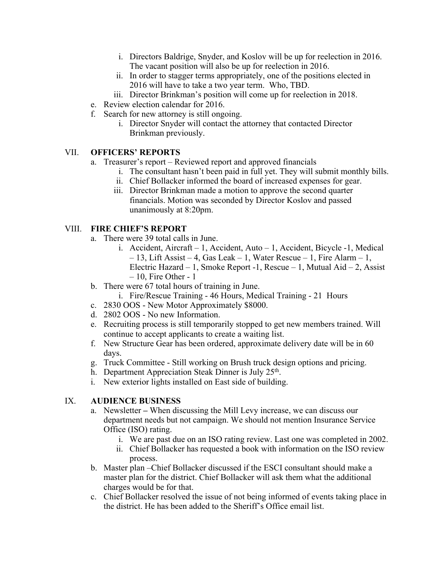- i. Directors Baldrige, Snyder, and Koslov will be up for reelection in 2016. The vacant position will also be up for reelection in 2016.
- ii. In order to stagger terms appropriately, one of the positions elected in 2016 will have to take a two year term. Who, TBD.
- iii. Director Brinkman's position will come up for reelection in 2018.
- e. Review election calendar for 2016.
- f. Search for new attorney is still ongoing.
	- i. Director Snyder will contact the attorney that contacted Director Brinkman previously.

#### VII. **OFFICERS' REPORTS**

- a. Treasurer's report Reviewed report and approved financials
	- i. The consultant hasn't been paid in full yet. They will submit monthly bills.
	- ii. Chief Bollacker informed the board of increased expenses for gear.
	- iii. Director Brinkman made a motion to approve the second quarter financials. Motion was seconded by Director Koslov and passed unanimously at 8:20pm.

#### VIII. **FIRE CHIEF'S REPORT**

- a. There were 39 total calls in June.
	- i. Accident, Aircraft 1, Accident, Auto 1, Accident, Bicycle -1, Medical – 13, Lift Assist – 4, Gas Leak – 1, Water Rescue – 1, Fire Alarm – 1, Electric Hazard – 1, Smoke Report -1, Rescue – 1, Mutual Aid – 2, Assist  $-10$ , Fire Other - 1
- b. There were 67 total hours of training in June.
	- i. Fire/Rescue Training 46 Hours, Medical Training 21 Hours
- c. 2830 OOS New Motor Approximately \$8000.
- d. 2802 OOS No new Information.
- e. Recruiting process is still temporarily stopped to get new members trained. Will continue to accept applicants to create a waiting list.
- f. New Structure Gear has been ordered, approximate delivery date will be in 60 days.
- g. Truck Committee Still working on Brush truck design options and pricing.
- h. Department Appreciation Steak Dinner is July 25<sup>th</sup>.
- i. New exterior lights installed on East side of building.

# IX. **AUDIENCE BUSINESS**

- a. Newsletter **–** When discussing the Mill Levy increase, we can discuss our department needs but not campaign. We should not mention Insurance Service Office (ISO) rating.
	- i. We are past due on an ISO rating review. Last one was completed in 2002.
	- ii. Chief Bollacker has requested a book with information on the ISO review process.
- b. Master plan –Chief Bollacker discussed if the ESCI consultant should make a master plan for the district. Chief Bollacker will ask them what the additional charges would be for that.
- c. Chief Bollacker resolved the issue of not being informed of events taking place in the district. He has been added to the Sheriff's Office email list.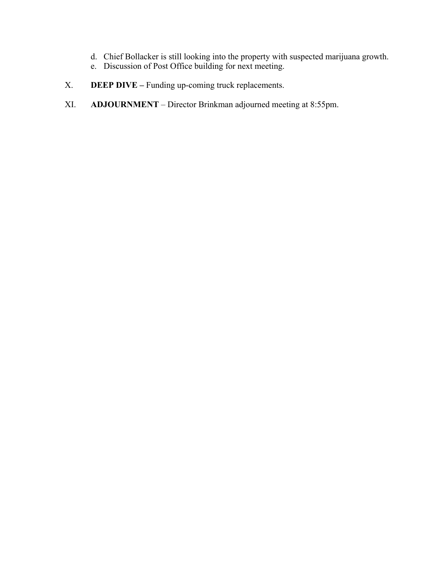- d. Chief Bollacker is still looking into the property with suspected marijuana growth.
- e. Discussion of Post Office building for next meeting.
- X. **DEEP DIVE** Funding up-coming truck replacements.
- XI. **ADJOURNMENT** Director Brinkman adjourned meeting at 8:55pm.